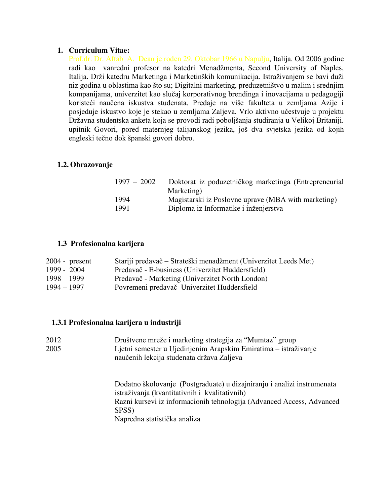#### **1. Curriculum Vitae:**

Prof.dr. Dr. Aftab A. Dean je rođen 29. Oktobar 1966 u Napulju, Italija. Od 2006 godine radi kao vanredni profesor na katedri Menadžmenta, Second University of Naples, Italija. Drži katedru Marketinga i Marketinških komunikacija. Istraživanjem se bavi duži niz godina u oblastima kao što su; Digitalni marketing, preduzetništvo u malim i srednjim kompanijama, univerzitet kao slučaj korporativnog brendinga i inovacijama u pedagogiji koristeći naučena iskustva studenata. Predaje na više fakulteta u zemljama Azije i posjeduje iskustvo koje je stekao u zemljama Zaljeva. Vrlo aktivno učestvuje u projektu Državna studentska anketa koja se provodi radi poboljšanja studiranja u Velikoj Britaniji. upitnik Govori, pored maternjeg talijanskog jezika, još dva svjetska jezika od kojih engleski tečno dok španski govori dobro.

#### **1.2. Obrazovanje**

| $1997 - 2002$ | Doktorat iz poduzetničkog marketinga (Entrepreneurial |
|---------------|-------------------------------------------------------|
|               | Marketing)                                            |
| 1994          | Magistarski iz Poslovne uprave (MBA with marketing)   |
| 1991          | Diploma iz Informatike i inženjerstva                 |

#### **1.3 Profesionalna karijera**

| $2004$ - present | Stariji predavač – Strateški menadžment (Univerzitet Leeds Met) |
|------------------|-----------------------------------------------------------------|
| 1999 - 2004      | Predavač - E-business (Univerzitet Huddersfield)                |
| $1998 - 1999$    | Predavač - Marketing (Univerzitet North London)                 |
| 1994 – 1997      | Povremeni predavač Univerzitet Huddersfield                     |

## **1.3.1 Profesionalna karijera u industriji**

| 2012 | Društvene mreže i marketing strategija za "Mumtaz" group        |
|------|-----------------------------------------------------------------|
| 2005 | Ljetni semester u Ujedinjenim Arapskim Emiratima – istraživanje |
|      | naučenih lekcija studenata država Zaljeva                       |

Dodatno školovanje (Postgraduate) u dizajniranju i analizi instrumenata istraživanja (kvantitativnih i kvalitativnih) Razni kursevi iz informacionih tehnologija (Advanced Access, Advanced SPSS) Napredna statistička analiza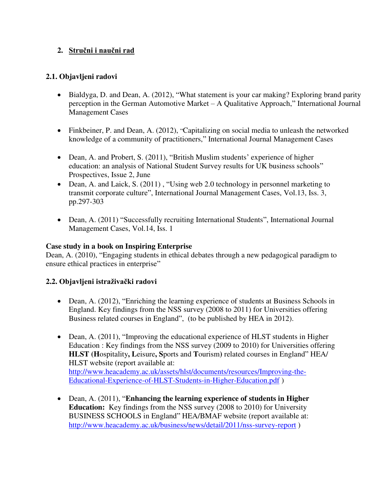# **2. Stručni i naučni rad**

## **2.1. Objavljeni radovi**

- Bialdyga, D. and Dean, A. (2012), "What statement is your car making? Exploring brand parity perception in the German Automotive Market – A Qualitative Approach," International Journal Management Cases
- Finkbeiner, P. and Dean, A. (2012), "Capitalizing on social media to unleash the networked knowledge of a community of practitioners," International Journal Management Cases
- Dean, A. and Probert, S. (2011), "British Muslim students' experience of higher education: an analysis of National Student Survey results for UK business schools" Prospectives, Issue 2, June
- Dean, A. and Laick, S. (2011), "Using web 2.0 technology in personnel marketing to transmit corporate culture", International Journal Management Cases, Vol.13, Iss. 3, pp.297-303
- Dean, A. (2011) "Successfully recruiting International Students", International Journal Management Cases, Vol.14, Iss. 1

## **Case study in a book on Inspiring Enterprise**

Dean, A. (2010), "Engaging students in ethical debates through a new pedagogical paradigm to ensure ethical practices in enterprise"

## **2.2. Objavljeni istraživački radovi**

- Dean, A. (2012), "Enriching the learning experience of students at Business Schools in England. Key findings from the NSS survey (2008 to 2011) for Universities offering Business related courses in England", (to be published by HEA in 2012).
- Dean, A. (2011), "Improving the educational experience of HLST students in Higher Education : Key findings from the NSS survey (2009 to 2010) for Universities offering **HLST (H**ospitality**, L**eisure**, S**ports and **T**ourism**)** related courses in England" HEA/ HLST website (report available at: [http://www.heacademy.ac.uk/assets/hlst/documents/resources/Improving-the-](http://www.heacademy.ac.uk/assets/hlst/documents/resources/Improving-the-Educational-Experience-of-HLST-Students-in-Higher-Education.pdf)[Educational-Experience-of-HLST-Students-in-Higher-Education.pdf](http://www.heacademy.ac.uk/assets/hlst/documents/resources/Improving-the-Educational-Experience-of-HLST-Students-in-Higher-Education.pdf) )
- Dean, A. (2011), "**Enhancing the learning experience of students in Higher Education:** Key findings from the NSS survey (2008 to 2010) for University BUSINESS SCHOOLS in England" HEA/BMAF website (report available at: <http://www.heacademy.ac.uk/business/news/detail/2011/nss-survey-report>)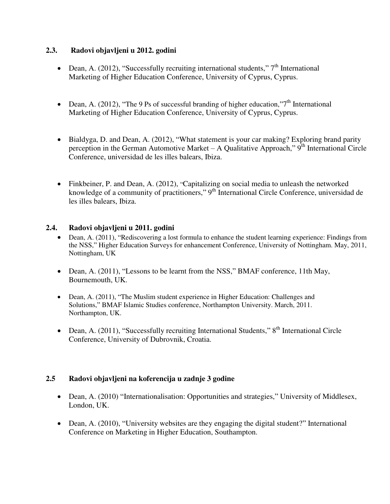## **2.3. Radovi objavljeni u 2012. godini**

- Dean, A. (2012), "Successfully recruiting international students,"  $7<sup>th</sup>$  International Marketing of Higher Education Conference, University of Cyprus, Cyprus.
- Dean, A. (2012), "The 9 Ps of successful branding of higher education,"7<sup>th</sup> International Marketing of Higher Education Conference, University of Cyprus, Cyprus.
- Bialdyga, D. and Dean, A. (2012), "What statement is your car making? Exploring brand parity perception in the German Automotive Market – A Qualitative Approach,"  $9<sup>th</sup>$  International Circle Conference, universidad de les illes balears, Ibiza.
- Finkbeiner, P. and Dean, A. (2012), "Capitalizing on social media to unleash the networked knowledge of a community of practitioners," 9<sup>th</sup> International Circle Conference, universidad de les illes balears, Ibiza.

# **2.4. Radovi objavljeni u 2011. godini**

- Dean, A. (2011), "Rediscovering a lost formula to enhance the student learning experience: Findings from the NSS," Higher Education Surveys for enhancement Conference, University of Nottingham. May, 2011, Nottingham, UK
- Dean, A. (2011), "Lessons to be learnt from the NSS," BMAF conference, 11th May, Bournemouth, UK.
- Dean, A. (2011), "The Muslim student experience in Higher Education: Challenges and Solutions," BMAF Islamic Studies conference, Northampton University. March, 2011. Northampton, UK.
- Dean, A.  $(2011)$ , "Successfully recruiting International Students,"  $8<sup>th</sup>$  International Circle Conference, University of Dubrovnik, Croatia.

## **2.5 Radovi objavljeni na koferencija u zadnje 3 godine**

- Dean, A. (2010) "Internationalisation: Opportunities and strategies," University of Middlesex, London, UK.
- Dean, A. (2010), "University websites are they engaging the digital student?" International Conference on Marketing in Higher Education, Southampton.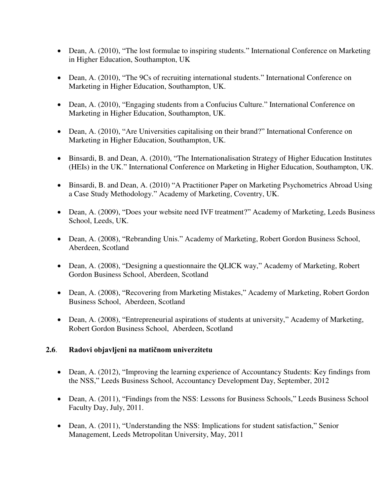- Dean, A. (2010), "The lost formulae to inspiring students." International Conference on Marketing in Higher Education, Southampton, UK
- Dean, A. (2010), "The 9Cs of recruiting international students." International Conference on Marketing in Higher Education, Southampton, UK.
- Dean, A. (2010), "Engaging students from a Confucius Culture." International Conference on Marketing in Higher Education, Southampton, UK.
- Dean, A. (2010), "Are Universities capitalising on their brand?" International Conference on Marketing in Higher Education, Southampton, UK.
- Binsardi, B. and Dean, A. (2010), "The Internationalisation Strategy of Higher Education Institutes (HEIs) in the UK." International Conference on Marketing in Higher Education, Southampton, UK.
- Binsardi, B. and Dean, A. (2010) "A Practitioner Paper on Marketing Psychometrics Abroad Using a Case Study Methodology." Academy of Marketing, Coventry, UK.
- Dean, A. (2009), "Does your website need IVF treatment?" Academy of Marketing, Leeds Business School, Leeds, UK.
- Dean, A. (2008), "Rebranding Unis." Academy of Marketing, Robert Gordon Business School, Aberdeen, Scotland
- Dean, A. (2008), "Designing a questionnaire the QLICK way," Academy of Marketing, Robert Gordon Business School, Aberdeen, Scotland
- Dean, A. (2008), "Recovering from Marketing Mistakes," Academy of Marketing, Robert Gordon Business School, Aberdeen, Scotland
- Dean, A. (2008), "Entrepreneurial aspirations of students at university," Academy of Marketing, Robert Gordon Business School, Aberdeen, Scotland

## **2.6**. **Radovi objavljeni na matičnom univerzitetu**

- Dean, A. (2012), "Improving the learning experience of Accountancy Students: Key findings from the NSS," Leeds Business School, Accountancy Development Day, September, 2012
- Dean, A. (2011), "Findings from the NSS: Lessons for Business Schools," Leeds Business School Faculty Day, July, 2011.
- Dean, A. (2011), "Understanding the NSS: Implications for student satisfaction," Senior Management, Leeds Metropolitan University, May, 2011